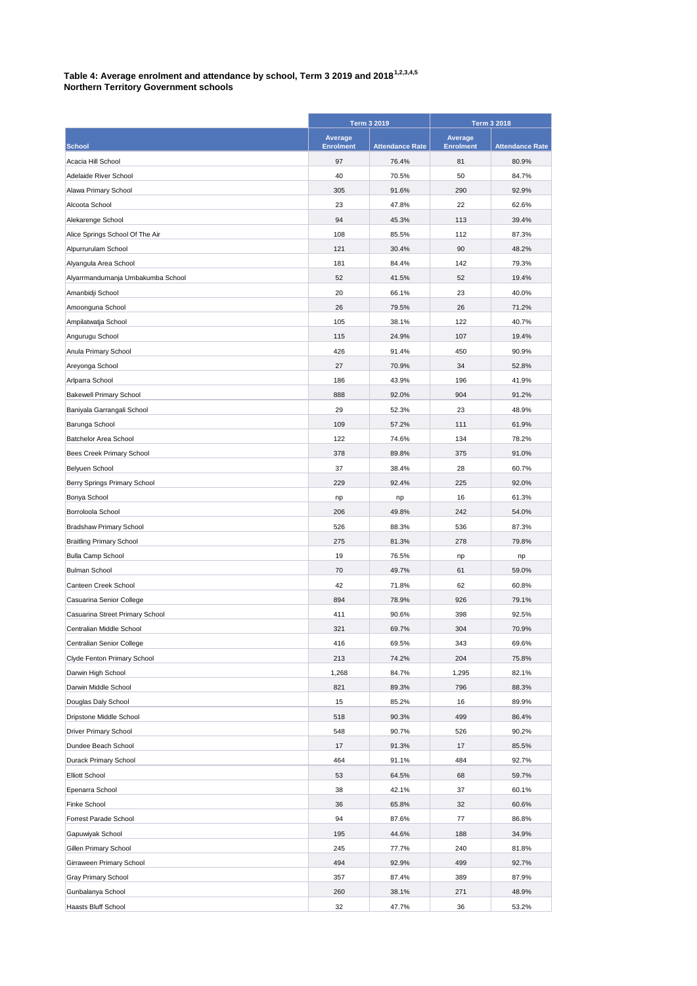## **Table 4: Average enrolment and attendance by school, Term 3 2019 and 20181,2,3,4,5**

| <b>Northern Territory Government schools</b> |  |  |  |
|----------------------------------------------|--|--|--|
|----------------------------------------------|--|--|--|

|                                                             | <b>Term 3 2019</b>          |                        | <b>Term 3 2018</b>          |                        |
|-------------------------------------------------------------|-----------------------------|------------------------|-----------------------------|------------------------|
| <b>School</b>                                               | Average<br><b>Enrolment</b> | <b>Attendance Rate</b> | Average<br><b>Enrolment</b> | <b>Attendance Rate</b> |
| Acacia Hill School                                          | 97                          | 76.4%                  | 81                          | 80.9%                  |
| Adelaide River School                                       | 40                          | 70.5%                  | 50                          | 84.7%                  |
| Alawa Primary School                                        | 305                         | 91.6%                  | 290                         | 92.9%                  |
| Alcoota School                                              | 23                          | 47.8%                  | 22                          | 62.6%                  |
| Alekarenge School                                           | 94                          | 45.3%                  | 113                         | 39.4%                  |
| Alice Springs School Of The Air                             | 108                         | 85.5%                  | 112                         | 87.3%                  |
| Alpurrurulam School                                         | 121                         | 30.4%                  | 90                          | 48.2%                  |
| Alyangula Area School                                       | 181                         | 84.4%                  | 142                         | 79.3%                  |
| Alyarrmandumanja Umbakumba School                           | 52                          | 41.5%                  | 52                          | 19.4%                  |
| Amanbidji School                                            | 20                          | 66.1%                  | 23                          | 40.0%                  |
| Amoonguna School                                            | 26                          | 79.5%                  | 26                          | 71.2%                  |
| Ampilatwatja School                                         | 105                         | 38.1%                  | 122                         | 40.7%                  |
| Angurugu School                                             | 115                         | 24.9%                  | 107                         | 19.4%                  |
| Anula Primary School                                        | 426                         | 91.4%                  | 450                         | 90.9%                  |
| Areyonga School                                             | 27                          | 70.9%                  | 34                          | 52.8%                  |
| Arlparra School                                             | 186                         | 43.9%                  | 196                         | 41.9%                  |
| <b>Bakewell Primary School</b>                              | 888                         | 92.0%                  | 904                         | 91.2%                  |
|                                                             | 29                          | 52.3%                  | 23                          | 48.9%                  |
| Baniyala Garrangali School                                  | 109                         | 57.2%                  | 111                         | 61.9%                  |
| Barunga School                                              |                             |                        |                             |                        |
| Batchelor Area School                                       | 122                         | 74.6%                  | 134                         | 78.2%                  |
| Bees Creek Primary School                                   | 378                         | 89.8%                  | 375                         | 91.0%                  |
| Belyuen School                                              | 37                          | 38.4%                  | 28                          | 60.7%                  |
| Berry Springs Primary School                                | 229                         | 92.4%                  | 225                         | 92.0%                  |
| Bonya School                                                | np                          | np                     | 16                          | 61.3%                  |
| Borroloola School                                           | 206                         | 49.8%                  | 242<br>536                  | 54.0%                  |
| Bradshaw Primary School                                     | 526                         | 88.3%                  |                             | 87.3%                  |
| <b>Braitling Primary School</b>                             | 275<br>19                   | 81.3%                  | 278                         | 79.8%                  |
| <b>Bulla Camp School</b><br><b>Bulman School</b>            | 70                          | 76.5%<br>49.7%         | np<br>61                    | np<br>59.0%            |
|                                                             | 42                          | 71.8%                  | 62                          | 60.8%                  |
| Canteen Creek School                                        | 894                         | 78.9%                  | 926                         | 79.1%                  |
| Casuarina Senior College                                    | 411                         | 90.6%                  | 398                         | 92.5%                  |
| Casuarina Street Primary School<br>Centralian Middle School |                             |                        |                             | 70.9%                  |
|                                                             | 321                         | 69.7%                  | 304                         |                        |
| Centralian Senior College                                   | 416<br>213                  | 69.5%                  | 343<br>204                  | 69.6%<br>75.8%         |
| Clyde Fenton Primary School<br>Darwin High School           | 1,268                       | 74.2%<br>84.7%         | 1,295                       | 82.1%                  |
|                                                             | 821                         |                        |                             | 88.3%                  |
| Darwin Middle School<br>Douglas Daly School                 |                             | 89.3%                  | 796                         | 89.9%                  |
| Dripstone Middle School                                     | 15<br>518                   | 85.2%<br>90.3%         | 16<br>499                   | 86.4%                  |
| <b>Driver Primary School</b>                                |                             |                        |                             |                        |
| Dundee Beach School                                         | 548                         | 90.7%                  | 526                         | 90.2%                  |
|                                                             | 17                          | 91.3%                  | 17                          | 85.5%                  |
| Durack Primary School                                       | 464                         | 91.1%                  | 484                         | 92.7%                  |
| <b>Elliott School</b>                                       | 53                          | 64.5%                  | 68                          | 59.7%                  |
| Epenarra School                                             | 38                          | 42.1%                  | 37                          | 60.1%                  |
| Finke School                                                | 36                          | 65.8%                  | 32                          | 60.6%                  |
| Forrest Parade School                                       | 94                          | 87.6%                  | 77                          | 86.8%                  |
| Gapuwiyak School                                            | 195                         | 44.6%                  | 188                         | 34.9%                  |
| Gillen Primary School                                       | 245                         | 77.7%                  | 240                         | 81.8%                  |
| Girraween Primary School                                    | 494                         | 92.9%                  | 499                         | 92.7%                  |
| Gray Primary School                                         | 357                         | 87.4%                  | 389                         | 87.9%                  |
| Gunbalanya School                                           | 260                         | 38.1%                  | 271                         | 48.9%                  |
| Haasts Bluff School                                         | 32                          | 47.7%                  | 36                          | 53.2%                  |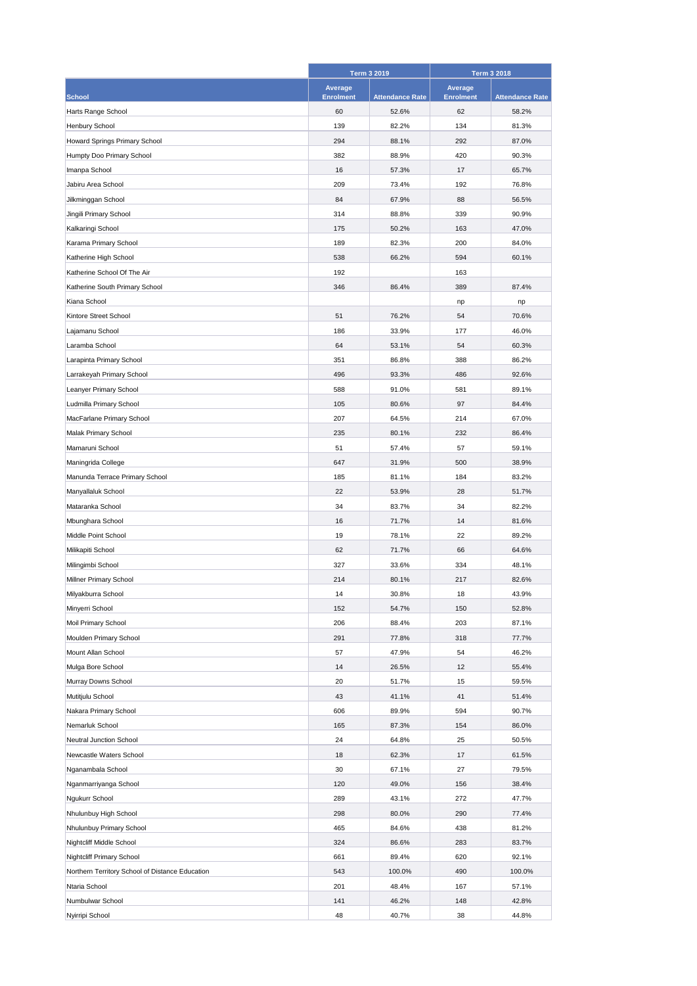|                                                 | <b>Term 3 2019</b> |                        | <b>Term 3 2018</b> |                        |
|-------------------------------------------------|--------------------|------------------------|--------------------|------------------------|
|                                                 | Average            |                        | Average            |                        |
| <b>School</b>                                   | <b>Enrolment</b>   | <b>Attendance Rate</b> | <b>Enrolment</b>   | <b>Attendance Rate</b> |
| Harts Range School                              | 60                 | 52.6%                  | 62                 | 58.2%                  |
| <b>Henbury School</b>                           | 139                | 82.2%                  | 134                | 81.3%                  |
| Howard Springs Primary School                   | 294                | 88.1%                  | 292                | 87.0%                  |
| Humpty Doo Primary School                       | 382                | 88.9%                  | 420                | 90.3%                  |
| Imanpa School                                   | 16                 | 57.3%                  | 17                 | 65.7%                  |
| Jabiru Area School                              | 209                | 73.4%                  | 192                | 76.8%                  |
| Jilkminggan School                              | 84                 | 67.9%                  | 88                 | 56.5%                  |
| Jingili Primary School                          | 314                | 88.8%                  | 339                | 90.9%                  |
| Kalkaringi School                               | 175                | 50.2%                  | 163                | 47.0%                  |
| Karama Primary School                           | 189                | 82.3%                  | 200                | 84.0%                  |
| Katherine High School                           | 538                | 66.2%                  | 594                | 60.1%                  |
| Katherine School Of The Air                     | 192                |                        | 163                |                        |
| Katherine South Primary School                  | 346                | 86.4%                  | 389                | 87.4%                  |
| Kiana School                                    |                    |                        | np                 | np                     |
| Kintore Street School                           | 51                 | 76.2%                  | 54                 | 70.6%                  |
| Lajamanu School                                 | 186                | 33.9%                  | 177                | 46.0%                  |
| Laramba School                                  | 64                 | 53.1%                  | 54                 | 60.3%                  |
| Larapinta Primary School                        | 351                | 86.8%                  | 388                | 86.2%                  |
| Larrakeyah Primary School                       | 496                | 93.3%                  | 486                | 92.6%                  |
| Leanyer Primary School                          | 588                | 91.0%                  | 581                | 89.1%                  |
| Ludmilla Primary School                         | 105                | 80.6%                  | 97                 | 84.4%                  |
| MacFarlane Primary School                       | 207                | 64.5%                  | 214                | 67.0%                  |
| Malak Primary School                            | 235                | 80.1%                  | 232                | 86.4%                  |
|                                                 |                    |                        |                    |                        |
| Mamaruni School                                 | 51                 | 57.4%                  | 57                 | 59.1%                  |
| Maningrida College                              | 647                | 31.9%                  | 500                | 38.9%                  |
| Manunda Terrace Primary School                  | 185                | 81.1%                  | 184                | 83.2%                  |
| Manyallaluk School                              | 22                 | 53.9%                  | 28                 | 51.7%                  |
| Mataranka School                                | 34                 | 83.7%                  | 34                 | 82.2%                  |
| Mbunghara School                                | 16                 | 71.7%                  | 14                 | 81.6%                  |
| Middle Point School                             | 19                 | 78.1%                  | 22                 | 89.2%                  |
| Milikapiti School                               | 62                 | 71.7%                  | 66                 | 64.6%                  |
| Milingimbi School                               | 327                | 33.6%                  | 334                | 48.1%                  |
| Millner Primary School                          | 214                | 80.1%                  | 217                | 82.6%                  |
| Milyakburra School                              | 14                 | 30.8%                  | 18                 | 43.9%                  |
| Minyerri School                                 | 152                | 54.7%                  | 150                | 52.8%                  |
| Moil Primary School                             | 206                | 88.4%                  | 203                | 87.1%                  |
| Moulden Primary School                          | 291                | 77.8%                  | 318                | 77.7%                  |
| Mount Allan School                              | 57                 | 47.9%                  | 54                 | 46.2%                  |
| Mulga Bore School                               | 14                 | 26.5%                  | 12                 | 55.4%                  |
| Murray Downs School                             | 20                 | 51.7%                  | 15                 | 59.5%                  |
| Mutitjulu School                                | 43                 | 41.1%                  | 41                 | 51.4%                  |
| Nakara Primary School                           | 606                | 89.9%                  | 594                | 90.7%                  |
| Nemarluk School                                 | 165                | 87.3%                  | 154                | 86.0%                  |
| Neutral Junction School                         | 24                 | 64.8%                  | 25                 | 50.5%                  |
| Newcastle Waters School                         | 18                 | 62.3%                  | 17                 | 61.5%                  |
| Nganambala School                               | 30                 | 67.1%                  | 27                 | 79.5%                  |
| Nganmarriyanga School                           | 120                | 49.0%                  | 156                | 38.4%                  |
| Ngukurr School                                  | 289                | 43.1%                  | 272                | 47.7%                  |
| Nhulunbuy High School                           | 298                | 80.0%                  | 290                | 77.4%                  |
| Nhulunbuy Primary School                        | 465                | 84.6%                  | 438                | 81.2%                  |
| Nightcliff Middle School                        | 324                | 86.6%                  | 283                | 83.7%                  |
| Nightcliff Primary School                       | 661                | 89.4%                  | 620                | 92.1%                  |
| Northern Territory School of Distance Education | 543                | 100.0%                 | 490                | 100.0%                 |
| Ntaria School                                   | 201                | 48.4%                  | 167                | 57.1%                  |
| Numbulwar School                                | 141                | 46.2%                  | 148                | 42.8%                  |
| Nyirripi School                                 | 48                 | 40.7%                  | 38                 | 44.8%                  |
|                                                 |                    |                        |                    |                        |